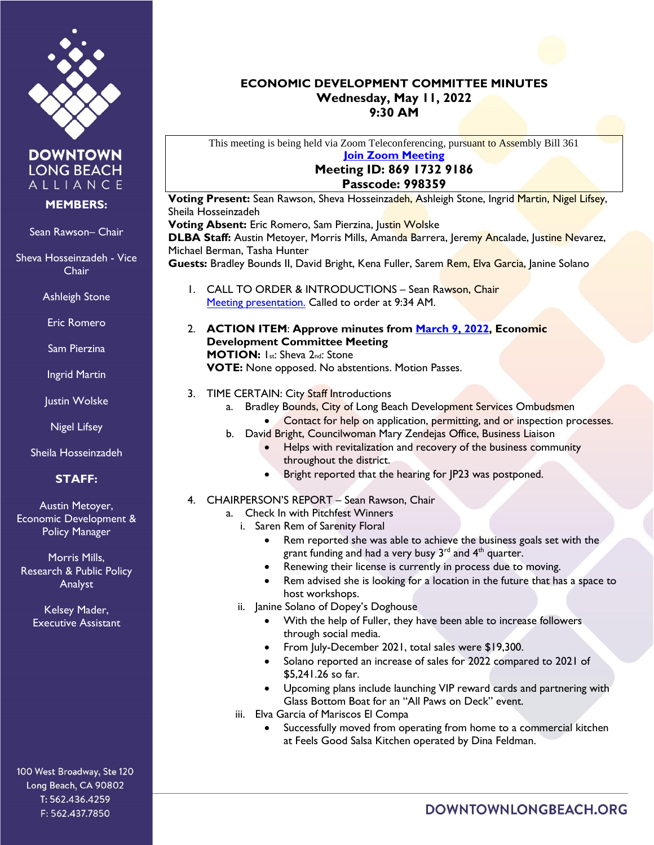

**DOWNTOWN LONG BEACH** ALLIANCE

### **MEMBERS:**

#### Sean Rawson– Chair

Sheva Hosseinzadeh - Vice Chair

Ashleigh Stone

Eric Romero

- Sam Pierzina
- Ingrid Martin
- Justin Wolske

Nigel Lifsey

Sheila Hosseinzadeh

# **STAFF:**

Austin Metoyer, Economic Development & Policy Manager

Morris Mills, Research & Public Policy Analyst

> Kelsey Mader, Executive Assistant

100 West Broadway, Ste 120 Long Beach, CA 90802 T: 562.436.4259 F: 562.437.7850

## **ECONOMIC DEVELOPMENT COMMITTEE MINUTES Wednesday, May 11, 2022 9:30 AM**

This meeting is being held via Zoom Teleconferencing, pursuant to Assembly Bill 361 **[Join Zoom Meeting](https://us02web.zoom.us/j/86917329186?pwd=M1pmV1pQbG5ubnk1Yk5ac3orVzVRdz09)**

### **Meeting ID: 869 1732 9186 Passcode: 998359**

**Voting Present:** Sean Rawson, Sheva Hosseinzadeh, Ashleigh Stone, Ingrid Martin, Nigel Lifsey, Sheila Hosseinzadeh

**Voting Absent:** Eric Romero, Sam Pierzina, Justin Wolske **DLBA Staff:** Austin Metoyer, Morris Mills, Amanda Barrera, Jeremy Ancalade, Justine Nevarez, Michael Berman, Tasha Hunter

Guests: Bradley Bounds II, David Bright, Kena Fuller, Sarem Rem, Elva Garcia, Janine Solano

- 1. CALL TO ORDER & INTRODUCTIONS Sean Rawson, Chair [Meeting presentation.](https://downtownlongbeach.org/wp-content/uploads/Economic-Development-Committee-Presentation051022.pdf) Called to order at 9:34 AM.
- 2. **ACTION ITEM**: **Approve minutes from [March 9, 2022,](https://downtownlongbeach.org/wp-content/uploads/ED-Minutes-3-9-22-F.pdf) Economic Development Committee Meeting MOTION:** 1st: Sheva 2nd: Stone **VOTE:** None opposed. No abstentions. Motion Passes.
- 3. TIME CERTAIN: City Staff Introductions
	- a. Bradley Bounds, City of Long Beach Development Services Ombudsmen Contact for help on application, permitting, and or inspection processes.
	- b. David Bright, Councilwoman Mary Zendejas Office, Business Liaison
		- Helps with revitalization and recovery of the business community throughout the district.
		- Bright reported that the hearing for JP23 was postponed.
- 4. CHAIRPERSON'S REPORT Sean Rawson, Chair
	- a. Check In with Pitchfest Winners
		- i. Saren Rem of Sarenity Floral
			- Rem reported she was able to achieve the business goals set with the grant funding and had a very busy  $3<sup>rd</sup>$  and  $4<sup>th</sup>$  quarter.
			- Renewing their license is currently in process due to moving.
			- Rem advised she is looking for a location in the future that has a space to host workshops.
		- ii. Janine Solano of Dopey's Doghouse
			- With the help of Fuller, they have been able to increase followers through social media.
			- From July-December 2021, total sales were \$19,300.
			- Solano reported an increase of sales for 2022 compared to 2021 of \$5,241.26 so far.
			- Upcoming plans include launching VIP reward cards and partnering with Glass Bottom Boat for an "All Paws on Deck" event.
		- iii. Elva Garcia of Mariscos El Compa
			- Successfully moved from operating from home to a commercial kitchen at Feels Good Salsa Kitchen operated by Dina Feldman.